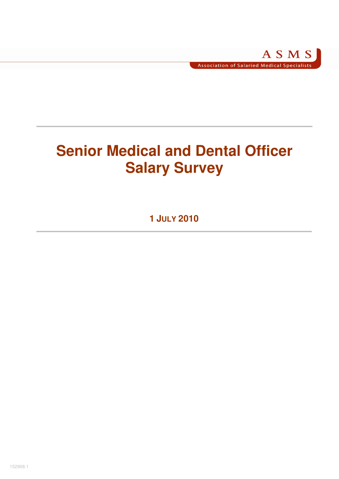# **Senior Medical and Dental Officer Salary Survey**

**1 JULY 2010**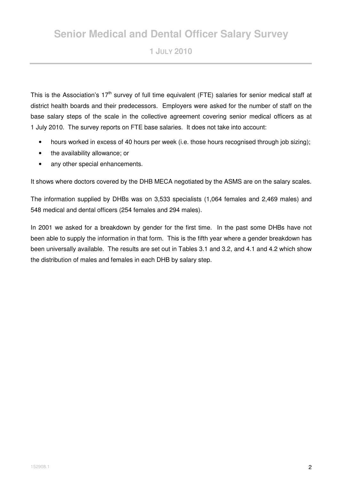# **Senior Medical and Dental Officer Salary Survey**

**1 JULY 2010** 

This is the Association's 17<sup>th</sup> survey of full time equivalent (FTE) salaries for senior medical staff at district health boards and their predecessors. Employers were asked for the number of staff on the base salary steps of the scale in the collective agreement covering senior medical officers as at 1 July 2010. The survey reports on FTE base salaries. It does not take into account:

- hours worked in excess of 40 hours per week (i.e. those hours recognised through job sizing);
- the availability allowance; or
- any other special enhancements.

It shows where doctors covered by the DHB MECA negotiated by the ASMS are on the salary scales.

The information supplied by DHBs was on 3,533 specialists (1,064 females and 2,469 males) and 548 medical and dental officers (254 females and 294 males).

In 2001 we asked for a breakdown by gender for the first time. In the past some DHBs have not been able to supply the information in that form. This is the fifth year where a gender breakdown has been universally available. The results are set out in Tables 3.1 and 3.2, and 4.1 and 4.2 which show the distribution of males and females in each DHB by salary step.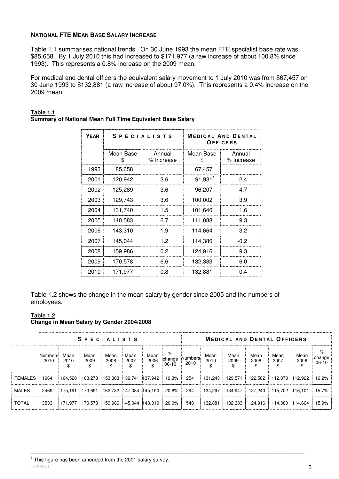### **NATIONAL FTE MEAN BASE SALARY INCREASE**

Table 1.1 summarises national trends. On 30 June 1993 the mean FTE specialist base rate was \$85,658. By 1 July 2010 this had increased to \$171,977 (a raw increase of about 100.8% since 1993). This represents a 0.8% increase on the 2009 mean.

For medical and dental officers the equivalent salary movement to 1 July 2010 was from \$67,457 on 30 June 1993 to \$132,881 (a raw increase of about 97.0%). This represents a 0.4% increase on the 2009 mean.

| <b>YEAR</b> | <b>SPECIALISTS</b> |                      | <b>MEDICAL AND DENTAL</b><br>OFFICERS |                      |  |  |  |  |
|-------------|--------------------|----------------------|---------------------------------------|----------------------|--|--|--|--|
|             | Mean Base<br>\$    | Annual<br>% Increase | Mean Base<br>\$                       | Annual<br>% Increase |  |  |  |  |
| 1993        | 85,658             |                      | 67,457                                |                      |  |  |  |  |
| 2001        | 120,942            | 3.6                  | $91,931$ <sup>1</sup>                 | 24                   |  |  |  |  |
| 2002        | 125,289            | 3.6                  | 96,207                                | 4.7                  |  |  |  |  |
| 2003        | 129,743            | 3.6                  | 100,002                               | 3.9                  |  |  |  |  |
| 2004        | 131,740            | 1.5                  | 101,640                               | 1.6                  |  |  |  |  |
| 2005        | 140,583            | 6.7                  | 111,088                               | 9.3                  |  |  |  |  |
| 2006        | 143,310            | 1.9                  | 114,664                               | 3.2                  |  |  |  |  |
| 2007        | 145,044            | 1.2                  | 114,380                               | $-0.2$               |  |  |  |  |
| 2008        | 159,986            | 10.2                 | 124,916                               | 9.3                  |  |  |  |  |
| 2009        | 170,578            | 6.6                  | 132,383                               | 6.0                  |  |  |  |  |
| 2010        | 171,977            | 0.8                  | 132,881                               | 0.4                  |  |  |  |  |

#### **Table 1.1 Summary of National Mean Full Time Equivalent Base Salary**

Table 1.2 shows the change in the mean salary by gender since 2005 and the numbers of employees.

### **Table 1.2**

# **Change in Mean Salary by Gender 2004/2008**

|              |                 |              | <b>SPECIALISTS</b> |                         |              |                    | <b>MEDICAL AND DENTAL OFFICERS</b> |                        |              |              |              |                 |                    |                        |  |
|--------------|-----------------|--------------|--------------------|-------------------------|--------------|--------------------|------------------------------------|------------------------|--------------|--------------|--------------|-----------------|--------------------|------------------------|--|
|              | Numbers<br>2010 | Mean<br>2010 | Mean<br>2009       | Mean<br>2008            | Mean<br>2007 | Mean<br>2006<br>\$ | %<br>change<br>06-10               | <b>Numbers</b><br>2010 | Mean<br>2010 | Mean<br>2009 | Mean<br>2008 | Mean<br>2007    | Mean<br>2006<br>\$ | %<br>change<br>$06-10$ |  |
| FEMALES      | 1064            | 164.520      | 163.273            | 153,303 139,741         |              | 137.942            | 19.3%                              | 254                    | 131.243      | 129.571      | 122.582      | 112.878 112.922 |                    | 16.2%                  |  |
| MALES        | 2469            | 175.191      | 173.691            | 162,782 147,084 145,190 |              |                    | 20.8%                              | 294                    | 134.297      | 134.947      | 127.240      | 115.702 116.101 |                    | 15.7%                  |  |
| <b>TOTAL</b> | 3533            | 171.977      | 170.578            | 159.986 145.044 143.310 |              |                    | 20.0%                              | 548                    | 132,881      | 132,383      | 124.916      | 114.380 114.664 |                    | 15.9%                  |  |
|              |                 |              |                    |                         |              |                    |                                    |                        |              |              |              |                 |                    |                        |  |

\_\_\_\_\_\_\_\_\_\_\_\_\_\_\_\_\_\_\_\_\_\_\_\_\_\_\_\_\_\_\_\_\_\_\_\_\_\_\_\_\_\_\_\_\_\_\_\_\_\_\_\_\_\_\_\_\_\_\_\_\_\_\_\_\_\_\_\_\_\_\_\_\_\_\_\_\_\_\_\_\_\_\_\_\_\_\_\_\_\_\_\_\_\_\_\_\_\_\_\_\_\_\_\_\_\_\_\_

 $152908.1$  **3** <sup>1</sup> This figure has been amended from the 2001 salary survey.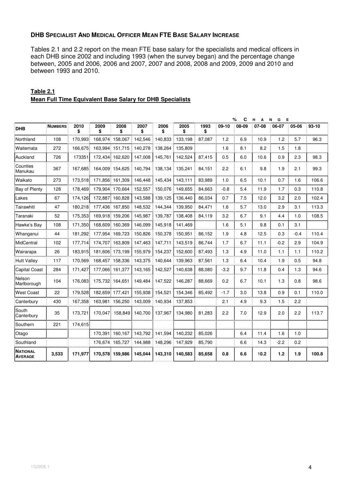#### **DHB SPECIALIST AND MEDICAL OFFICER MEAN FTE BASE SALARY INCREASE**

Tables 2.1 and 2.2 report on the mean FTE base salary for the specialists and medical officers in each DHB since 2002 and including 1993 (when the survey began) and the percentage change between, 2005 and 2006, 2006 and 2007, 2007 and 2008, 2008 and 2009, 2009 and 2010 and between 1993 and 2010.

|                                   |                |            |                 |                 |            |            |            |            |         | C<br>% | н<br>A | $\mathsf{N}$<br>G<br>Е |        |           |
|-----------------------------------|----------------|------------|-----------------|-----------------|------------|------------|------------|------------|---------|--------|--------|------------------------|--------|-----------|
| <b>DHB</b>                        | <b>NUMBERS</b> | 2010<br>\$ | 2009<br>\$      | 2008<br>\$      | 2007<br>\$ | 2006<br>\$ | 2005<br>\$ | 1993<br>\$ | $09-10$ | 08-09  | 07-08  | 06-07                  | 05-06  | $93 - 10$ |
| Northland                         | 108            | 170,993    | 168,974         | 158,067         | 142,546    | 140,833    | 133,198    | 87,087     | 1.2     | 6.9    | 10.9   | 1.2                    | 5.7    | 96.3      |
| Waitemata                         | 272            | 166,675    | 163,994         | 151,715         | 140,278    | 138,264    | 135,809    |            | 1.6     | 8.1    | 8.2    | 1.5                    | 1.8    |           |
| Auckland                          | 726            | 173351     | 172,434         | 162,620         | 147,008    | 145,761    | 142,524    | 87,415     | 0.5     | 6.0    | 10.6   | 0.9                    | 2.3    | 98.3      |
| Counties<br>Manukau               | 367            | 167.685    | 164,009         | 154,625         | 140,794    | 138,134    | 135,241    | 84,151     | 2.2     | 6.1    | 9.8    | 1.9                    | 2.1    | 99.3      |
| Waikato                           | 273            | 173,518    |                 | 171,856 161,309 | 146,448    | 145,434    | 143,111    | 83,989     | 1.0     | 6.5    | 10.1   | 0.7                    | 1.6    | 106.6     |
| Bay of Plenty                     | 128            | 178,469    | 179,904         | 170,664         | 152,557    | 150,076    | 149,655    | 84,663     | $-0.8$  | 5.4    | 11.9   | 1.7                    | 0.3    | 110.8     |
| Lakes                             | 67             | 174,126    | 172,887         | 160,828         | 143,588    | 139,125    | 136,440    | 86,034     | 0.7     | 7.5    | 12.0   | 3.2                    | 2.0    | 102.4     |
| Tairawhiti                        | 47             | 180,218    | 177,436         | 167,850         | 148,532    | 144,344    | 139,950    | 84,471     | 1.6     | 5.7    | 13.0   | 2.9                    | 3.1    | 113.3     |
| Taranaki                          | 52             | 175,353    | 169,918         | 159,206         | 145,987    | 139,787    | 138,408    | 84,119     | 3.2     | 6.7    | 9.1    | 4.4                    | 1.0    | 108.5     |
| Hawke's Bay                       | 108            | 171,350    | 168,609         | 160,369         | 146,099    | 145,918    | 141,469    |            | 1.6     | 5.1    | 9.8    | 0.1                    | 3.1    |           |
| Whanganui                         | 44             | 181,292    | 177,954         | 169,723         | 150,826    | 150,378    | 150,951    | 86,152     | 1.9     | 4.8    | 12.5   | 0.3                    | $-0.4$ | 110.4     |
| MidCentral                        | 102            | 177,714    | 174,707         | 163,809         | 147,463    | 147,711    | 143,519    | 86,744     | 1.7     | 6.7    | 11.1   | $-0.2$                 | 2.9    | 104.9     |
| Wairarapa                         | 26             | 183,915    | 181,606         | 173,199         | 155,979    | 154,237    | 152,600    | 87,493     | 1.3     | 4.9    | 11.0   | 1.1                    | 1.1    | 110.2     |
| <b>Hutt Valley</b>                | 117            | 170,569    | 168,457         | 158,336         | 143,375    | 140,644    | 139,963    | 87,561     | 1.3     | 6.4    | 10.4   | 1.9                    | 0.5    | 94.8      |
| <b>Capital Coast</b>              | 284            | 171,427    | 177,066         | 161,377         | 143,165    | 142,527    | 140,638    | 88,080     | $-3.2$  | 9.7    | 11.8   | 0.4                    | 1.3    | 94.6      |
| Nelson<br>Marlborough             | 104            | 176.083    | 175,732 164,651 |                 | 149,484    | 147,522    | 146,287    | 88,669     | 0.2     | 6.7    | 10.1   | 1.3                    | 0.8    | 98.6      |
| <b>West Coast</b>                 | 22             | 179,528    | 182.659         | 177,421         | 155,938    | 154,521    | 154,346    | 85,492     | $-1.7$  | 3.0    | 13.8   | 0.9                    | 0.1    | 110.0     |
| Canterbury                        | 430            | 167,358    | 163,981         | 156.250         | 143,009    | 140,934    | 137,853    |            | 2.1     | 4.9    | 9.3    | 1.5                    | 2.2    |           |
| South<br>Canterbury               | 35             | 173,721    | 170.047         | 158,849         | 140,700    | 137,967    | 134,980    | 81,283     | 2.2     | 7.0    | 12.9   | 2.0                    | 2.2    | 113.7     |
| Southern                          | 221            | 174,615    |                 |                 |            |            |            |            |         |        |        |                        |        |           |
| Otago                             |                |            | 170.391         | 160.167         | 143,792    | 141,594    | 140,232    | 85,026     |         | 6.4    | 11.4   | 1.6                    | 1.0    |           |
| Southland                         |                |            | 176,674         | 165,727         | 144,988    | 148,296    | 147,929    | 85,790     |         | 6.6    | 14.3   | $-2.2$                 | 0.2    |           |
| <b>NATIONAL</b><br><b>AVERAGE</b> | 3,533          | 171,977    | 170,578         | 159,986         | 145,044    | 143,310    | 140,583    | 85,658     | 0.8     | 6.6    | 10.2   | $1.2$                  | 1.9    | 100.8     |

#### **Table 2.1 Mean Full Time Equivalent Base Salary for DHB Specialists**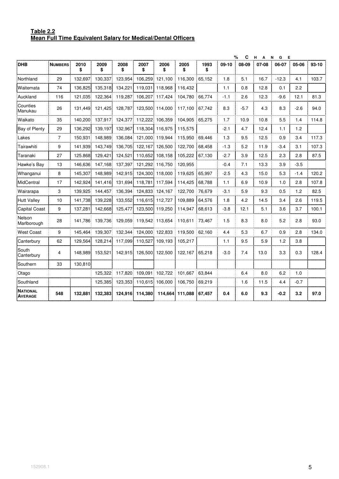#### **Table 2.2 Mean Full Time Equivalent Salary for Medical/Dental Officers**

|                                   |                |            |            |            |            |                 |                 |            |         | %<br>C | н.<br>$\overline{A}$ | N<br>G<br>E |        |         |
|-----------------------------------|----------------|------------|------------|------------|------------|-----------------|-----------------|------------|---------|--------|----------------------|-------------|--------|---------|
| <b>DHB</b>                        | <b>NUMBERS</b> | 2010<br>\$ | 2009<br>\$ | 2008<br>\$ | 2007<br>\$ | 2006<br>\$      | 2005<br>\$      | 1993<br>\$ | $09-10$ | 08-09  | 07-08                | 06-07       | 05-06  | $93-10$ |
| Northland                         | 29             | 132.697    | 130,337    | 123,954    | 106,259    | 121,100         | 116,300         | 65,152     | 1.8     | 5.1    | 16.7                 | $-12.3$     | 4.1    | 103.7   |
| Waitemata                         | 74             | 136,825    | 135,318    | 134,221    | 119,031    | 118,968         | 116,432         |            | 1.1     | 0.8    | 12.8                 | 0.1         | 2.2    |         |
| Auckland                          | 116            | 121,035    | 122,364    | 119,287    | 106,207    | 117,424         | 104,780         | 66,774     | $-1.1$  | 2.6    | 12.3                 | -9.6        | 12.1   | 81.3    |
| Counties<br>Manukau               | 26             | 131,449    | 121,425    | 128,787    |            | 123,500 114,000 | 117,100         | 67,742     | 8.3     | $-5.7$ | 4.3                  | 8.3         | $-2.6$ | 94.0    |
| Waikato                           | 35             | 140,200    | 137,917    | 124,377    | 112,222    | 106,359         | 104,905         | 65,275     | 1.7     | 10.9   | 10.8                 | 5.5         | 1.4    | 114.8   |
| Bay of Plenty                     | 29             | 136,292    | 139,197    | 132,967    | 118,304    | 116,975         | 115,575         |            | $-2.1$  | 4.7    | 12.4                 | 1.1         | 1.2    |         |
| Lakes                             | $\overline{7}$ | 150,931    | 148,989    | 136,084    | 121,000    | 119,944         | 115,950         | 69,446     | 1.3     | 9.5    | 12.5                 | 0.9         | 3.4    | 117.3   |
| Tairawhiti                        | 9              | 141,939    | 143.749    | 136,705    | 122,167    | 126,500         | 122,700         | 68,458     | $-1.3$  | 5.2    | 11.9                 | $-3.4$      | 3.1    | 107.3   |
| Taranaki                          | 27             | 125.868    | 129.421    | 124,521    | 110,652    | 108,158         | 105,222         | 67,130     | $-2.7$  | 3.9    | 12.5                 | 2.3         | 2.8    | 87.5    |
| Hawke's Bay                       | 13             | 146,636    | 147,168    | 137,397    | 121,292    | 116,750         | 120,955         |            | $-0.4$  | 7.1    | 13.3                 | 3.9         | $-3.5$ |         |
| Whanganui                         | 8              | 145,307    | 148,989    | 142,915    | 124,300    | 118,000         | 119,625         | 65,997     | $-2.5$  | 4.3    | 15.0                 | 5.3         | $-1.4$ | 120.2   |
| MidCentral                        | 17             | 142,924    | 141,416    | 131,694    | 118,781    | 117,594         | 114,425         | 68,788     | 1.1     | 6.9    | 10.9                 | 1.0         | 2.8    | 107.8   |
| Wairarapa                         | 3              | 139,925    | 144,457    | 136,394    | 124,833    | 124,167         | 122,700         | 76,679     | $-3.1$  | 5.9    | 9.3                  | 0.5         | 1.2    | 82.5    |
| <b>Hutt Valley</b>                | 10             | 141,738    | 139,228    | 133,552    | 116,615    | 112,727         | 109,889         | 64,576     | 1.8     | 4.2    | 14.5                 | 3.4         | 2.6    | 119.5   |
| <b>Capital Coast</b>              | 9              | 137.281    | 142.668    | 125,477    | 123,500    | 119.250         | 114,947         | 68,613     | $-3.8$  | 12.1   | 5.1                  | 3.6         | 3.7    | 100.1   |
| Nelson<br>Marlborough             | 28             | 141.786    | 139,736    | 129,059    |            | 119,542 113,654 | 110,611         | 73.467     | 1.5     | 8.3    | 8.0                  | 5.2         | 2.8    | 93.0    |
| <b>West Coast</b>                 | 9              | 145,464    | 139,307    | 132,344    |            | 124,000 122,833 | 119,500         | 62,160     | 4.4     | 5.3    | 6.7                  | 0.9         | 2.8    | 134.0   |
| Canterbury                        | 62             | 129.564    | 128,214    | 117,099    | 110,527    | 109,193         | 105,217         |            | 1.1     | 9.5    | 5.9                  | 1.2         | 3.8    |         |
| South<br>Canterbury               | 4              | 148,989    | 153,521    | 142,915    |            | 126,500 122,500 | 122,167         | 65,218     | $-3.0$  | 7.4    | 13.0                 | 3.3         | 0.3    | 128.4   |
| Southern                          | 33             | 130,810    |            |            |            |                 |                 |            |         |        |                      |             |        |         |
| Otago                             |                |            | 125,322    | 117,820    | 109,091    | 102,722         | 101,667         | 63,844     |         | 6.4    | 8.0                  | 6.2         | 1.0    |         |
| Southland                         |                |            | 125,385    | 123,353    | 110,615    | 106,000         | 106,750         | 69,219     |         | 1.6    | 11.5                 | 4.4         | $-0.7$ |         |
| <b>NATIONAL</b><br><b>AVERAGE</b> | 548            | 132,881    | 132,383    | 124,916    | 114,380    |                 | 114,664 111,088 | 67,457     | 0.4     | 6.0    | 9.3                  | $-0.2$      | 3.2    | 97.0    |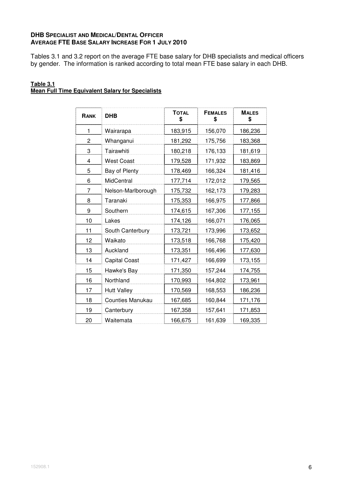## **DHB SPECIALIST AND MEDICAL/DENTAL OFFICER AVERAGE FTE BASE SALARY INCREASE FOR 1 JULY 2010**

Tables 3.1 and 3.2 report on the average FTE base salary for DHB specialists and medical officers by gender. The information is ranked according to total mean FTE base salary in each DHB.

#### **Table 3.1 Mean Full Time Equivalent Salary for Specialists**

| RANK | <b>DHB</b>           | <b>TOTAL</b><br>\$ | <b>FEMALES</b><br>\$ | <b>MALES</b><br>\$ |
|------|----------------------|--------------------|----------------------|--------------------|
| 1    | Wairarapa            | 183,915            | 156,070              | 186,236            |
| 2    | Whanganui            | 181,292            | 175,756              | 183,368            |
| 3    | Tairawhiti           | 180,218            | 176,133              | 181,619            |
| 4    | <b>West Coast</b>    | 179,528            | 171,932              | 183,869            |
| 5    | <b>Bay of Plenty</b> | 178,469            | 166,324              | 181,416            |
| 6    | MidCentral           | 177,714            | 172,012              | 179,565            |
| 7    | Nelson-Marlborough   | 175,732            | 162,173              | 179,283            |
| 8    | Taranaki             | 175,353            | 166,975              | 177,866            |
| 9    | Southern             | 174,615            | 167,306              | 177,155            |
| 10   | Lakes                | 174,126            | 166,071              | 176,065            |
| 11   | South Canterbury     | 173,721            | 173,996              | 173,652            |
| 12   | Waikato              | 173,518            | 166,768              | 175,420            |
| 13   | Auckland             | 173,351            | 166,496              | 177,630            |
| 14   | <b>Capital Coast</b> | 171,427            | 166,699              | 173,155            |
| 15   | Hawke's Bay          | 171,350            | 157,244              | 174,755            |
| 16   | Northland            | 170,993            | 164,802              | 173,961            |
| 17   | <b>Hutt Valley</b>   | 170,569            | 168,553              | 186,236            |
| 18   | Counties Manukau     | 167,685            | 160,844              | 171,176            |
| 19   | Canterbury           | 167,358            | 157,641              | 171,853            |
| 20   | Waitemata            | 166,675            | 161,639              | 169,335            |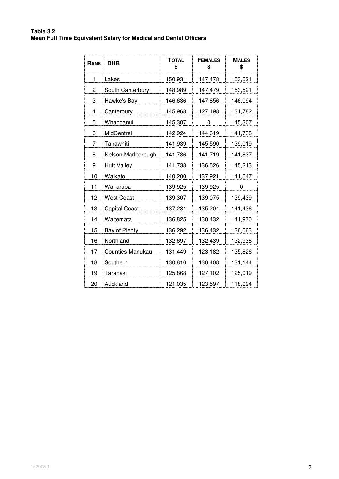#### **Table 3.2 Mean Full Time Equivalent Salary for Medical and Dental Officers**

| RANK | <b>DHB</b>              | <b>TOTAL</b><br>\$ | <b>FEMALES</b><br>\$ | <b>MALES</b><br>\$ |
|------|-------------------------|--------------------|----------------------|--------------------|
| 1    | Lakes                   | 150,931            | 147,478              | 153,521            |
| 2    | South Canterbury        | 148,989            | 147,479              | 153,521            |
| 3    | Hawke's Bay             | 146,636            | 147,856              | 146,094            |
| 4    | Canterbury              | 145,968            | 127,198              | 131,782            |
| 5    | Whanganui               | 145,307            | 0                    | 145,307            |
| 6    | MidCentral              | 142,924            | 144,619              | 141,738            |
| 7    | Tairawhiti              | 141,939            | 145,590              | 139,019            |
| 8    | Nelson-Marlborough      | 141,786            | 141,719              | 141,837            |
| 9    | <b>Hutt Valley</b>      | 141,738            | 136,526              | 145,213            |
| 10   | Waikato                 | 140,200            | 137,921              | 141,547            |
| 11   | Wairarapa               | 139,925            | 139,925              | 0                  |
| 12   | <b>West Coast</b>       | 139,307            | 139,075              | 139,439            |
| 13   | <b>Capital Coast</b>    | 137,281            | 135,204              | 141,436            |
| 14   | Waitemata               | 136,825            | 130,432              | 141,970            |
| 15   | <b>Bay of Plenty</b>    | 136,292            | 136,432              | 136,063            |
| 16   | Northland               | 132,697            | 132,439              | 132,938            |
| 17   | <b>Counties Manukau</b> | 131,449            | 123,182              | 135,826            |
| 18   | Southern                | 130,810            | 130,408              | 131,144            |
| 19   | Taranaki                | 125,868            | 127,102              | 125,019            |
| 20   | Auckland                | 121,035            | 123,597              | 118,094            |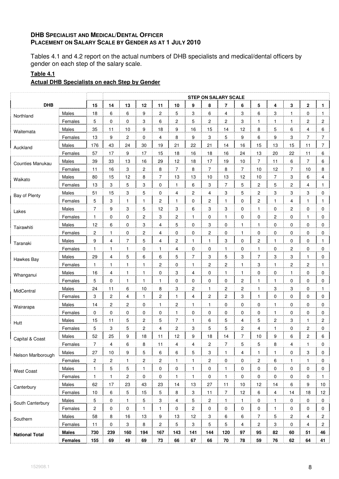### **DHB SPECIALIST AND MEDICAL/DENTAL OFFICER PLACEMENT ON SALARY SCALE BY GENDER AS AT 1 JULY 2010**

Tables 4.1 and 4.2 report on the actual numbers of DHB specialists and medical/dental officers by gender on each step of the salary scale.

# **Table 4.1**

# **Actual DHB Specialists on each Step by Gender**

|                       |              |                         |                         |                         |                |                         |                |                         | <b>STEP ON SALARY SCALE</b> |                |                         |                |              |                         |                |                |
|-----------------------|--------------|-------------------------|-------------------------|-------------------------|----------------|-------------------------|----------------|-------------------------|-----------------------------|----------------|-------------------------|----------------|--------------|-------------------------|----------------|----------------|
| <b>DHB</b>            |              | 15                      | 14                      | 13                      | 12             | 11                      | 10             | 9                       | 8                           | 7              | 6                       | 5              | 4            | 3                       | $\mathbf 2$    | 1              |
| Northland             | Males        | 18                      | $\,6\,$                 | 6                       | 9              | $\overline{\mathbf{c}}$ | 5              | 3                       | 6                           | 4              | 3                       | 6              | 3            | $\mathbf{1}$            | $\mathbf 0$    | $\mathbf{1}$   |
|                       | Females      | 5                       | 0                       | 0                       | 3              | 6                       | $\overline{c}$ | 5                       | $\overline{c}$              | $\overline{2}$ | $\overline{3}$          | 1              | 1            | $\mathbf{1}$            | $\overline{2}$ | 2              |
| Waitemata             | Males        | 35                      | 11                      | 10                      | 9              | 18                      | 9              | 16                      | 15                          | 14             | 12                      | 8              | 5            | 6                       | 4              | 6              |
|                       | Females      | 13                      | 9                       | $\overline{\mathbf{c}}$ | 0              | $\overline{4}$          | 8              | 9                       | 3                           | 5              | 9                       | 6              | 9            | 3                       | $\overline{7}$ | $\overline{7}$ |
| Auckland              | Males        | 176                     | 43                      | 24                      | 30             | 19                      | 21             | 22                      | 21                          | 14             | 16                      | 15             | 13           | 15                      | 11             | $\overline{7}$ |
|                       | Females      | 57                      | 17                      | 9                       | 17             | 15                      | 18             | 16                      | 18                          | 16             | 24                      | 13             | 20           | 22                      | 11             | 6              |
| Counties Manukau      | Males        | 39                      | 33                      | 13                      | 16             | 29                      | 12             | 18                      | 17                          | 19             | $10$                    | $\overline{7}$ | 11           | 6                       | $\overline{7}$ | 6              |
|                       | Females      | 11                      | 16                      | 3                       | 2              | 8                       | $\overline{7}$ | 8                       | $\overline{7}$              | 8              | $\overline{7}$          | 10             | 12           | 7                       | 10             | 8              |
| Waikato               | Males        | 80                      | 15                      | 12                      | 8              | 7                       | 13             | 13                      | 10                          | 13             | 12                      | 10             | 7            | 3                       | 6              | 4              |
|                       | Females      | 13                      | 3                       | 5                       | 3              | 0                       | $\mathbf{1}$   | 6                       | 3                           | $\overline{7}$ | 5                       | 2              | 5            | $\overline{\mathbf{c}}$ | $\overline{4}$ | 1              |
| Bay of Plenty         | Males        | 51                      | 15                      | 3                       | 5              | 0                       | 4              | 2                       | 4                           | 3              | 5                       | 2              | 3            | 3                       | 3              | 0              |
|                       | Females      | 5                       | 3                       | 1                       | 1              | $\overline{c}$          | 1              | 0                       | $\overline{\mathbf{c}}$     | 1              | 0                       | 2              | 1            | 4                       | 1              | 1              |
| Lakes                 | Males        | $\overline{7}$          | 9                       | 3                       | 5              | 12                      | 3              | 6                       | $\ensuremath{\mathsf{3}}$   | 3              | 0                       | 1              | 0            | $\overline{\mathbf{c}}$ | $\mathbf 0$    | 0              |
|                       | Females      | $\mathbf{1}$            | 0                       | 0                       | 2              | 3                       | 2              | 1                       | 0                           | 1              | 0                       | 0              | 2            | 0                       | $\mathbf{1}$   | 0              |
| Tairawhiti            | Males        | 12                      | 6                       | 0                       | 3              | 4                       | 5              | 0                       | 3                           | 0              | 1                       | 1              | 0            | 0                       | 0              | 0              |
|                       | Females      | 2                       | $\mathbf{1}$            | 0                       | 2              | 4                       | 0              | 0                       | $\sqrt{2}$                  | 0              | $\mathbf{1}$            | 0              | 0            | 0                       | $\mathbf 0$    | 0              |
| Taranaki              | Males        | 9                       | 4                       | $\overline{7}$          | 5              | $\overline{4}$          | 2              | 1                       | $\mathbf{1}$                | 3              | 0                       | $\overline{c}$ | 1            | 0                       | 0              | $\mathbf{1}$   |
|                       | Females      | 1                       | 1                       | 1                       | 0              | 1                       | 4              | 0                       | 0                           | 1              | 0                       | 1              | 0            | 2                       | 0              | 0              |
| Hawkes Bay            | Males        | 29                      | 4                       | 5                       | 6              | 6                       | 5              | $\overline{7}$          | 3                           | 5              | 3                       | $\overline{7}$ | 3            | 3                       | $\mathbf{1}$   | 0              |
|                       | Females      | $\mathbf{1}$            | $\mathbf{1}$            | $\mathbf{1}$            | $\mathbf{1}$   | $\overline{c}$          | 0              | $\mathbf{1}$            | $\overline{c}$              | 2              | $\mathbf{1}$            | 3              | 1            | $\overline{c}$          | $\overline{c}$ | $\mathbf{1}$   |
| Whanganui             | Males        | 16                      | 4                       | 1                       | 1              | 0                       | 3              | 4                       | 0                           | 1              | 1                       | 0              | 0            | $\mathbf{1}$            | 0              | 0              |
|                       | Females      | 5                       | $\pmb{0}$               | $\mathbf{1}$            | 1              | $\mathbf{1}$            | 0              | 0                       | 0                           | 0              | $\overline{\mathbf{c}}$ | 1              | 1            | 0                       | 0              | 0              |
| MidCentral            | Males        | 24                      | 11                      | 6                       | 10             | 8                       | 3              | $\overline{\mathbf{c}}$ | $\mathbf{1}$                | 2              | 2                       | $\mathbf{1}$   | 3            | 3                       | 0              | $\mathbf{1}$   |
|                       | Females      | 3                       | 2                       | 4                       | $\mathbf{1}$   | $\overline{c}$          | 1              | 4                       | 2                           | 2              | 3                       | 1              | 0            | 0                       | 0              | 0              |
| Wairarapa             | Males        | 14                      | $\mathbf 2$             | $\overline{\mathbf{c}}$ | 0              | $\mathbf{1}$            | 2              | $\mathbf{1}$            | $\mathbf{1}$                | 0              | 0                       | 0              | 1            | 0                       | $\mathbf 0$    | 0              |
|                       | Females      | 0                       | 0                       | 0                       | 0              | 0                       | $\mathbf{1}$   | 0                       | 0                           | 0              | 0                       | 0              | $\mathbf{1}$ | 0                       | 0              | 0              |
| Hutt                  | Males        | 15                      | 11                      | 5                       | $\overline{c}$ | 5                       | 7              | 1                       | 6                           | 5              | 4                       | 5              | 2            | 3                       | $\mathbf{1}$   | $\overline{c}$ |
|                       | Females      | 5                       | 3                       | 5                       | 2              | 4                       | 2              | 3                       | $\mathbf 5$                 | 5              | $\overline{2}$          | 4              | 1            | 0                       | $\overline{c}$ | 0              |
| Capital & Coast       | Males        | 52                      | 25                      | 9                       | 18             | 11                      | 12             | 9                       | 18                          | 14             | $\overline{7}$          | 10             | 9            | 6                       | 2              | 6              |
|                       | Females      | 7                       | 4                       | 6                       | 8              | 11                      | 4              | 4                       | 2                           | 7              | 5                       | 5              | 8            | 4                       |                | 0              |
| Nelson Marlborough    | Males        | 27                      | 10                      | 9                       | 5              | 6                       | 6              | 5                       | 3                           | 1              | 4                       | $\mathbf{1}$   | $\mathbf{1}$ | 0                       | 3              | 0              |
|                       | Females      | $\overline{\mathbf{c}}$ | $\overline{\mathbf{c}}$ | $\mathbf{1}$            | 2              | $\overline{c}$          | $\mathbf{1}$   | 1                       | 2                           | 0              | 0                       | 2              | 6            | $\mathbf{1}$            | 1              | 0              |
| <b>West Coast</b>     | Males        | $\mathbf{1}$            | 5                       | $\sqrt{5}$              | $\mathbf{1}$   | 0                       | $\mathbf 0$    | 1                       | 0                           | $\mathbf{1}$   | 0                       | 0              | 0            | 0                       | 0              | 0              |
|                       | Females      | $\mathbf{1}$            | 1                       | 2                       | 0              | 0                       | $\mathbf{1}$   | $\mathbf{1}$            | 0                           | 1              | 0                       | 0              | 0            | 0                       | 0              | $\mathbf{1}$   |
| Canterbury            | Males        | 62                      | 17                      | 23                      | 43             | 23                      | 14             | 13                      | $27\,$                      | 11             | 10                      | 12             | 14           | 6                       | 9              | 10             |
|                       | Females      | 10                      | 6                       | 5                       | 15             | 5                       | 8              | 3                       | 11                          | $\overline{7}$ | 12                      | 6              | 4            | 14                      | 18             | 12             |
| South Canterbury      | Males        | 5                       | $\pmb{0}$               | $\mathbf{1}$            | 5              | 3                       | $\overline{4}$ | 5                       | 2                           | 1              | $\mathbf{1}$            | 0              | $\mathbf{1}$ | 0                       | $\mathbf 0$    | 0              |
|                       | Females      | $\overline{c}$          | 0                       | 0                       | $\mathbf{1}$   | $\mathbf{1}$            | $\mathbf 0$    | 2                       | 0                           | 0              | 0                       | 0              | $\mathbf{1}$ | 0                       | 0              | 0              |
| Southern              | Males        | 58                      | 8                       | 16                      | 13             | 9                       | 13             | 12                      | 3                           | 6              | 6                       | $\overline{7}$ | 5            | $\overline{c}$          | 4              | $\overline{c}$ |
|                       | Females      | 11                      | $\pmb{0}$               | 3                       | 8              | $\overline{c}$          | 5              | 3                       | $\mathbf 5$                 | 5              | 4                       | $\overline{c}$ | 3            | 0                       | 4              | $\overline{c}$ |
| <b>National Total</b> | <b>Males</b> | 730                     | 239                     | 160                     | 194            | 167                     | 143            | 141                     | 144                         | 120            | 97                      | 95             | 82           | 60                      | 51             | 46             |
|                       | Females      | 155                     | 69                      | 49                      | 69             | 73                      | 66             | 67                      | 66                          | 70             | 78                      | 59             | 76           | 62                      | 64             | 41             |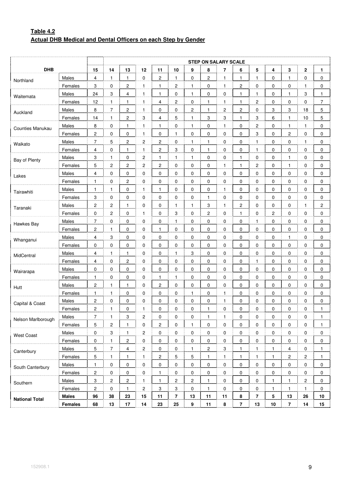# **Table 4.2 Actual DHB Medical and Dental Officers on each Step by Gender**

|                       |              |                         |                |                         |                |                |                         |                | <b>STEP ON SALARY SCALE</b> |                         |                |                |                |                |                |                  |
|-----------------------|--------------|-------------------------|----------------|-------------------------|----------------|----------------|-------------------------|----------------|-----------------------------|-------------------------|----------------|----------------|----------------|----------------|----------------|------------------|
| <b>DHB</b>            |              | 15                      | 14             | 13                      | 12             | 11             | 10                      | 9              | 8                           | 7                       | 6              | 5              | 4              | 3              | $\mathbf{2}$   | $\mathbf{1}$     |
| Northland             | Males        | 4                       | $\mathbf{1}$   | $\mathbf{1}$            | 0              | $\overline{c}$ | $\mathbf{1}$            | $\pmb{0}$      | $\overline{\mathbf{c}}$     | $\mathbf{1}$            | 1              | 1              | 0              | $\mathbf{1}$   | 0              | $\mathbf 0$      |
|                       | Females      | 3                       | 0              | 2                       | $\overline{1}$ | 1              | 2                       | $\overline{1}$ | 0                           | 1                       | 2              | 0              | 0              | 0              | 1              | 0                |
| Waitemata             | Males        | 24                      | 3              | $\overline{\mathbf{4}}$ | $\mathbf{1}$   | 1              | 0                       | $\mathbf{1}$   | $\pmb{0}$                   | 0                       | 1              | 1              | 0              | $\mathbf{1}$   | 3              | $\mathbf{1}$     |
|                       | Females      | 12                      | 1              | $\mathbf{1}$            | 1              | 4              | 2                       | $\overline{0}$ | 1                           | $\mathbf{1}$            | 1              | 2              | 0              | 0              | 0              | $\overline{7}$   |
| Auckland              | Males        | 8                       | $\overline{7}$ | $\boldsymbol{2}$        | $\mathbf{1}$   | 0              | 0                       | $\overline{2}$ | $\mathbf{1}$                | $\overline{\mathbf{c}}$ | 2              | 0              | 3              | 3              | 18             | 5                |
|                       | Females      | 14                      | $\mathbf{1}$   | $\overline{\mathbf{c}}$ | 3              | 4              | 5                       | $\mathbf{1}$   | 3                           | 3                       | 1              | 3              | 6              | $\mathbf{1}$   | 10             | 5                |
| Counties Manukau      | Males        | 8                       | 0              | $\mathbf{1}$            | $\mathbf{1}$   | $\mathbf{1}$   | 0                       | $\mathbf{1}$   | 0                           | $\mathbf{1}$            | 0              | 2              | 0              | $\mathbf{1}$   | $\mathbf{1}$   | $\mathbf 0$      |
|                       | Females      | 2                       | 0              | 0                       | $\overline{1}$ | 0              | 1                       | 0              | 0                           | 0                       | 0              | 3              | 0              | 2              | 0              | 0                |
| Waikato               | Males        | 7                       | 5              | 2                       | $\overline{2}$ | 2              | 0                       | $\overline{1}$ | 1                           | 0                       | 0              | 1              | 0              | 0              | 1              | $\mathbf 0$      |
|                       | Females      | 4                       | 0              | $\mathbf{1}$            | $\mathbf{1}$   | 2              | 3                       | $\pmb{0}$      | $\mathbf{1}$                | 0                       | 0              | $\mathbf{1}$   | 0              | 0              | 0              | $\mathbf 0$      |
| Bay of Plenty         | Males        | 3                       | 1              | 0                       | $\overline{a}$ | 1              | 1                       | $\overline{1}$ | 0                           | 0                       | 1              | 0              | 0              | $\mathbf{1}$   | $\mathbf 0$    | $\mathbf 0$      |
|                       | Females      | 5                       | 2              | 2                       | $\overline{2}$ | 2              | 0                       | 0              | $\pmb{0}$                   | 1                       | 1              | 2              | 0              | $\mathbf{1}$   | 0              | 0                |
| Lakes                 | Males        | 4                       | 0              | 0                       | $\overline{0}$ | 0              | 0                       | $\overline{0}$ | 0                           | 0                       | 0              | 0              | 0              | 0              | 0              | $\mathbf 0$      |
|                       | Females      | 1                       | 0              | 2                       | $\overline{0}$ | 0              | 0                       | $\overline{0}$ | 0                           | 0                       | 0              | 0              | 0              | 0              | 0              | 0                |
| Tairawhiti            | Males        | $\mathbf{1}$            | 1              | $\pmb{0}$               | $\mathbf{1}$   | 1              | 0                       | $\overline{0}$ | 0                           | 1                       | 0              | 0              | 0              | 0              | 0              | $\mathbf 0$      |
|                       | Females      | 3                       | 0              | 0                       | 0              | 0              | 0                       | $\pmb{0}$      | $\mathbf{1}$                | 0                       | 0              | 0              | 0              | 0              | 0              | $\mathbf 0$      |
| Taranaki              | Males        | $\overline{\mathbf{c}}$ | $\overline{c}$ | 1                       | 0              | 0              | 1                       | $\overline{1}$ | 3                           | 1                       | 2              | 0              | 0              | 0              | $\mathbf{1}$   | $\boldsymbol{2}$ |
|                       | Females      | 0                       | 2              | $\pmb{0}$               | 1              | 0              | 3                       | $\overline{0}$ | $\mathbf 2$                 | 0                       | 1              | 0              | $\overline{2}$ | 0              | 0              | $\mathbf 0$      |
| Hawkes Bay            | Males        | $\overline{7}$          | 0              | 0                       | $\overline{0}$ | 0              | 1                       | $\overline{0}$ | 0                           | 0                       | 0              | 1              | 0              | 0              | 0              | $\mathbf 0$      |
|                       | Females      | 2                       | 1              | 0                       | 0              | 1              | 0                       | 0              | 0                           | 0                       | 0              | 0              | 0              | 0              | 0              | 0                |
| Whanganui             | Males        | 4                       | 3              | 0                       | $\mathbf{0}$   | 0              | 0                       | $\overline{0}$ | 0                           | 0                       | 0              | $\overline{0}$ | $\overline{0}$ | 1              | 0              | $\mathbf 0$      |
|                       | Females      | 0                       | 0              | 0                       | 0              | 0              | 0                       | $\overline{0}$ | 0                           | 0                       | 0              | 0              | 0              | 0              | 0              | $\mathbf 0$      |
| MidCentral            | Males        | 4                       | 1              | 1                       | 0              | 0              | 1                       | $\overline{3}$ | 0                           | 0                       | 0              | 0              | 0              | 0              | $\mathbf 0$    | $\mathbf 0$      |
|                       | Females      | 4                       | 0              | 2                       | $\mathbf{0}$   | 0              | 0                       | $\overline{0}$ | $\pmb{0}$                   | 0                       | 0              | 1              | 0              | 0              | 0              | 0                |
| Wairarapa             | Males        | 0                       | 0              | 0                       | $\overline{0}$ | 0              | 0                       | $\overline{0}$ | 0                           | 0                       | 0              | 0              | 0              | 0              | 0              | $\mathbf 0$      |
|                       | Females      | 1                       | 0              | 0                       | $\overline{0}$ | 1              | 1                       | $\overline{0}$ | 0                           | 0                       | 0              | 0              | 0              | 0              | 0              | 0                |
| Hutt                  | Males        | $\overline{\mathbf{c}}$ | 1              | 1                       | $\overline{0}$ | 2              | 0                       | $\overline{0}$ | 0                           | 0                       | 0              | 0              | 0              | 0              | 0              | $\mathbf 0$      |
|                       | Females      | $\mathbf{1}$            | $\mathbf{1}$   | 0                       | 0              | 0              | 0                       | $\mathbf{1}$   | 0                           | $\mathbf{1}$            | 0              | 0              | 0              | 0              | 0              | 0                |
| Capital & Coast       | Males        | 2                       | $\mathbf 0$    | 0                       | 0              | 0              | 0                       | $\pmb{0}$      | 0                           | 1                       | 0              | 0              | 0              | 0              | 0              | 0                |
|                       | Females      | 2                       | 1              | 0                       | 1              | 0              | 0                       | $\mathbf 0$    | 1                           | 0                       | 0              | 0              | 0              | 0              | 0              | $\mathbf 1$      |
| Nelson Marlborough    | Males        | $\overline{7}$          | $\mathbf{1}$   | 3                       | 2              | 0              | 0                       | 0              | $\mathbf{1}$                | $\mathbf{1}$            | 0              | 0              | 0              | 0              | 0              | $\mathbf{1}$     |
|                       | Females      | 5                       | $\overline{c}$ | 1                       | 0              | 2              | 0                       | 1              | $\mathbf 0$                 | 0                       | 0              | 0              | 0              | 0              | 0              | $\mathbf{1}$     |
| <b>West Coast</b>     | Males        | $\mathsf 0$             | 3              | 1                       | $\overline{2}$ | 0              | 0                       | $\overline{0}$ | 0                           | 0                       | 0              | 0              | 0              | 0              | 0              | 0                |
|                       | Females      | 0                       | $\mathbf{1}$   | $\overline{2}$          | 0              | 0              | 0                       | 0              | 0                           | 0                       | 0              | 0              | 0              | 0              | 0              | 0                |
| Canterbury            | Males        | 5                       | $\overline{7}$ | 4                       | $\overline{2}$ | 0              | 0                       | $\overline{1}$ | $\sqrt{2}$                  | 3                       | 1              | 1              | $\mathbf{1}$   | 4              | 0              | $\mathbf{1}$     |
|                       | Females      | $\sqrt{5}$              | $\mathbf{1}$   | $\mathbf{1}$            | $\mathbf{1}$   | 2              | 5 <sub>1</sub>          | $\overline{5}$ | 1                           | 1                       | 1              | 1              | $\mathbf{1}$   | $\overline{2}$ | $\overline{2}$ | $\mathbf{1}$     |
| South Canterbury      | Males        | $\mathbf{1}$            | 0              | 0                       | 0              | 0              | 0                       | 0              | 0                           | 0                       | 0              | 0              | 0              | 0              | 0              | 0                |
|                       | Females      | 2                       | 0              | 0                       | $\overline{0}$ | $\mathbf{1}$   | 0                       | $\overline{0}$ | $\mathbf 0$                 | 0                       | 0              | 0              | 0              | 0              | 0              | 0                |
| Southern              | Males        | $\mathbf 3$             | $\overline{c}$ | $\overline{\mathbf{c}}$ | $\frac{1}{2}$  | $\mathbf{1}$   | $\overline{2}$          | $\overline{2}$ | $\mathbf{1}$                | 0                       | 0              | 0              | 1              | 1              | 2              | 0                |
|                       | Females      | $\overline{c}$          | 0              | $\mathbf{1}$            | $\overline{2}$ | 3              | 3                       | $\overline{0}$ | $\mathbf{1}$                | 0                       | 0              | 0              | $\mathbf{1}$   | $\mathbf{1}$   | $\mathbf{1}$   | 0                |
| <b>National Total</b> | <b>Males</b> | 96                      | 38             | 23                      | 15             | 11             | $\overline{\mathbf{7}}$ | ${\bf 13}$     | 11                          | 11                      | 8              | $\overline{7}$ | 5              | 13             | 26             | 10               |
|                       | Females      | 68                      | 13             | 17                      | 14             | 23             | 25                      | 9              | 11                          | 8                       | $\overline{7}$ | 13             | 10             | $\overline{7}$ | 14             | 15               |